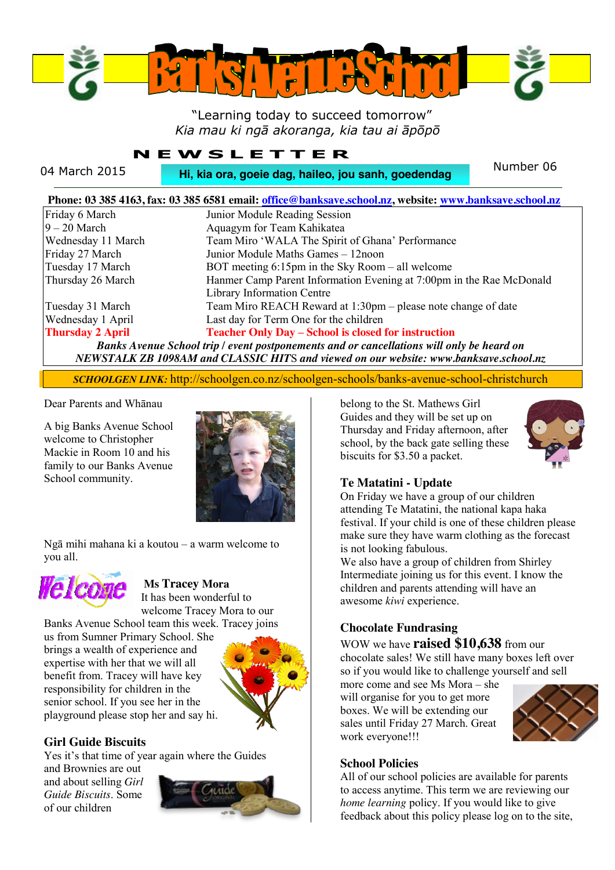

# "Learning today to succeed tomorrow" *Kia mau ki ngā akoranga, kia tau ai āpōpō*

# **NEWSLETTER**

04 March 2015 **Number 06 Hi, kia ora, goeie dag, haileo, jou sanh, goedendag** Number 06

|                         | Phone: 03 385 4163, fax: 03 385 6581 email: office@banksave.school.nz, website: www.banksave.school.nz |
|-------------------------|--------------------------------------------------------------------------------------------------------|
| Friday 6 March          | Junior Module Reading Session                                                                          |
| $9 - 20$ March          | Aquagym for Team Kahikatea                                                                             |
| Wednesday 11 March      | Team Miro 'WALA The Spirit of Ghana' Performance                                                       |
| Friday 27 March         | Junior Module Maths Games - 12noon                                                                     |
| Tuesday 17 March        | BOT meeting $6:15$ pm in the Sky Room – all welcome                                                    |
| Thursday 26 March       | Hanmer Camp Parent Information Evening at 7:00pm in the Rae McDonald                                   |
|                         | Library Information Centre                                                                             |
| Tuesday 31 March        | Team Miro REACH Reward at 1:30pm – please note change of date                                          |
| Wednesday 1 April       | Last day for Term One for the children                                                                 |
| <b>Thursday 2 April</b> | <b>Teacher Only Day - School is closed for instruction</b>                                             |
|                         | Banks Avenue School trip / event postponements and or cancellations will only be heard on              |
|                         | NEWSTALK ZB 1098AM and CLASSIC HITS and viewed on our website: www.banksave.school.nz                  |

*SCHOOLGEN LINK:* http://schoolgen.co.nz/schoolgen-schools/banks-avenue-school-christchurch

#### Dear Parents and Whānau

A big Banks Avenue School welcome to Christopher Mackie in Room 10 and his family to our Banks Avenue School community.



Ngā mihi mahana ki a koutou – a warm welcome to you all.



## **Ms Tracey Mora**

It has been wonderful to welcome Tracey Mora to our Banks Avenue School team this week. Tracey joins

us from Sumner Primary School. She brings a wealth of experience and expertise with her that we will all benefit from. Tracey will have key responsibility for children in the senior school. If you see her in the playground please stop her and say hi.



#### **Girl Guide Biscuits**

Yes it's that time of year again where the Guides

and Brownies are out and about selling *Girl Guide Biscuits*. Some of our children



belong to the St. Mathews Girl Guides and they will be set up on Thursday and Friday afternoon, after school, by the back gate selling these biscuits for \$3.50 a packet.



#### **Te Matatini - Update**

On Friday we have a group of our children attending Te Matatini, the national kapa haka festival. If your child is one of these children please make sure they have warm clothing as the forecast is not looking fabulous.

We also have a group of children from Shirley Intermediate joining us for this event. I know the children and parents attending will have an awesome *kiwi* experience.

#### **Chocolate Fundrasing**

WOW we have **raised \$10,638** from our chocolate sales! We still have many boxes left over so if you would like to challenge yourself and sell

more come and see Ms Mora – she will organise for you to get more boxes. We will be extending our sales until Friday 27 March. Great work everyone!!!



#### **School Policies**

All of our school policies are available for parents to access anytime. This term we are reviewing our *home learning* policy. If you would like to give feedback about this policy please log on to the site,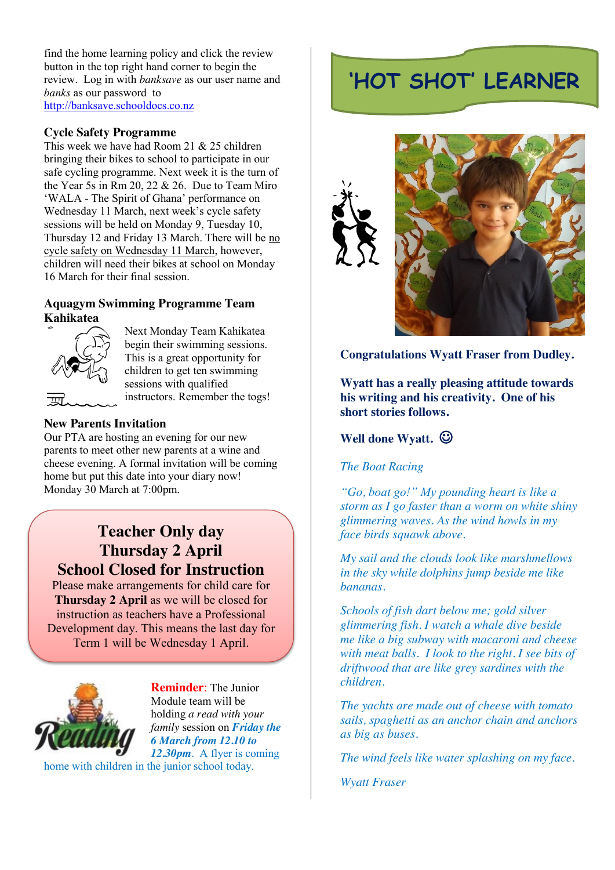find the home learning policy and click the review button in the top right hand corner to begin the review. Log in with *banksave* as our user name and *banks* as our password to [http://banksave.schooldocs.co.nz](http://banksave.schooldocs.co.nz/)

#### **Cycle Safety Programme**

This week we have had Room 21 & 25 children bringing their bikes to school to participate in our safe cycling programme. Next week it is the turn of the Year 5s in Rm 20, 22 & 26. Due to Team Miro 'WALA - The Spirit of Ghana' performance on Wednesday 11 March, next week's cycle safety sessions will be held on Monday 9, Tuesday 10, Thursday 12 and Friday 13 March. There will be no cycle safety on Wednesday 11 March, however, children will need their bikes at school on Monday 16 March for their final session.

#### **Aquagym Swimming Programme Team Kahikatea**



Next Monday Team Kahikatea begin their swimming sessions. This is a great opportunity for children to get ten swimming sessions with qualified instructors. Remember the togs!

#### **New Parents Invitation**

Our PTA are hosting an evening for our new parents to meet other new parents at a wine and cheese evening. A formal invitation will be coming home but put this date into your diary now! Monday 30 March at 7:00pm.

# **Teacher Only day Thursday 2 April School Closed for Instruction**

Please make arrangements for child care for **Thursday 2 April** as we will be closed for instruction as teachers have a Professional Development day. This means the last day for Term 1 will be Wednesday 1 April.



**Reminder**: The Junior Module team will be holding *a read with your family* session on *Friday the 6 March from 12.10 to 12.30pm.* A flyer is coming

home with children in the junior school today.

# **'HOT SHOT' LEARNER**





# **Congratulations Wyatt Fraser from Dudley.**

**Wyatt has a really pleasing attitude towards his writing and his creativity. One of his short stories follows.**

### **Well done Wyatt.**  $\odot$

#### *The Boat Racing*

*"Go, boat go!" My pounding heart is like a storm as I go faster than a worm on white shiny glimmering waves. As the wind howls in my face birds squawk above.* 

*My sail and the clouds look like marshmellows in the sky while dolphins jump beside me like bananas.* 

*Schools of fish dart below me; gold silver glimmering fish. I watch a whale dive beside me like a big subway with macaroni and cheese with meat balls. I look to the right. I see bits of driftwood that are like grey sardines with the children.* 

*The yachts are made out of cheese with tomato sails, spaghetti as an anchor chain and anchors as big as buses.* 

*The wind feels like water splashing on my face.*

*Wyatt Fraser*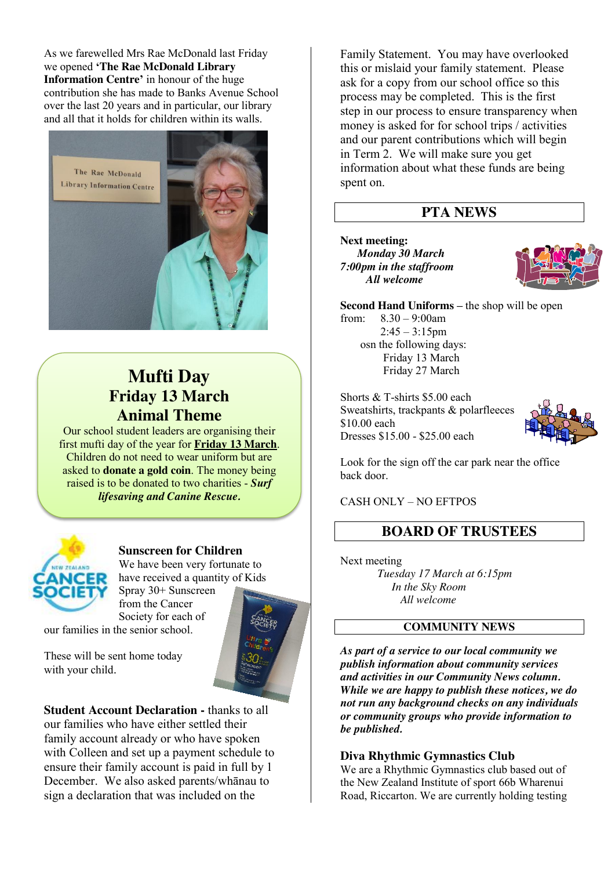As we farewelled Mrs Rae McDonald last Friday we opened **'The Rae McDonald Library Information Centre'** in honour of the huge contribution she has made to Banks Avenue School over the last 20 years and in particular, our library and all that it holds for children within its walls.



# **Mufti Day Friday 13 March Animal Theme**

Our school student leaders are organising their first mufti day of the year for **Friday 13 March**. Children do not need to wear uniform but are asked to **donate a gold coin**. The money being raised is to be donated to two charities - *Surf lifesaving and Canine Rescue.*



## **Sunscreen for Children**

We have been very fortunate to have received a quantity of Kids Spray 30+ Sunscreen

from the Cancer Society for each of our families in the senior school.

These will be sent home today with your child.

**Student Account Declaration -** thanks to all our families who have either settled their family account already or who have spoken with Colleen and set up a payment schedule to ensure their family account is paid in full by 1 December. We also asked parents/whānau to sign a declaration that was included on the

Family Statement. You may have overlooked this or mislaid your family statement. Please ask for a copy from our school office so this process may be completed. This is the first step in our process to ensure transparency when money is asked for for school trips / activities and our parent contributions which will begin in Term 2. We will make sure you get information about what these funds are being spent on.

# **PTA NEWS**

**Next meeting:**  *Monday 30 March* *7:00pm in the staffroom All welcome* 



**Second Hand Uniforms – the shop will be open** from: 8.30 – 9:00am

 $2:45 - 3:15$ pm osn the following days: Friday 13 March Friday 27 March

Shorts & T-shirts \$5.00 each Sweatshirts, trackpants & polarfleeces \$10.00 each Dresses \$15.00 - \$25.00 each



Look for the sign off the car park near the office back door.

## CASH ONLY – NO EFTPOS

# **BOARD OF TRUSTEES**

Next meeting *Tuesday 17 March at 6:15pm In the Sky Room All welcome*

#### **COMMUNITY NEWS**

*As part of a service to our local community we publish information about community services and activities in our Community News column. While we are happy to publish these notices, we do not run any background checks on any individuals or community groups who provide information to be published.*

#### **Diva Rhythmic Gymnastics Club**

We are a Rhythmic Gymnastics club based out of the New Zealand Institute of sport 66b Wharenui Road, Riccarton. We are currently holding testing